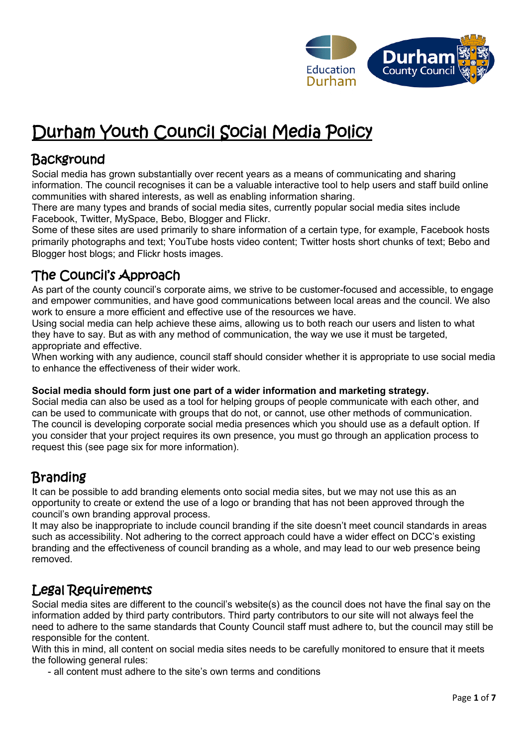

# Durham Youth Council Social Media Policy

## Background

Social media has grown substantially over recent years as a means of communicating and sharing information. The council recognises it can be a valuable interactive tool to help users and staff build online communities with shared interests, as well as enabling information sharing.

There are many types and brands of social media sites, currently popular social media sites include Facebook, Twitter, MySpace, Bebo, Blogger and Flickr.

Some of these sites are used primarily to share information of a certain type, for example, Facebook hosts primarily photographs and text; YouTube hosts video content; Twitter hosts short chunks of text; Bebo and Blogger host blogs; and Flickr hosts images.

# The Council's Approach

As part of the county council's corporate aims, we strive to be customer-focused and accessible, to engage and empower communities, and have good communications between local areas and the council. We also work to ensure a more efficient and effective use of the resources we have.

Using social media can help achieve these aims, allowing us to both reach our users and listen to what they have to say. But as with any method of communication, the way we use it must be targeted, appropriate and effective.

When working with any audience, council staff should consider whether it is appropriate to use social media to enhance the effectiveness of their wider work.

#### **Social media should form just one part of a wider information and marketing strategy.**

Social media can also be used as a tool for helping groups of people communicate with each other, and can be used to communicate with groups that do not, or cannot, use other methods of communication. The council is developing corporate social media presences which you should use as a default option. If you consider that your project requires its own presence, you must go through an application process to request this (see page six for more information).

# **Branding**

It can be possible to add branding elements onto social media sites, but we may not use this as an opportunity to create or extend the use of a logo or branding that has not been approved through the council's own branding approval process.

It may also be inappropriate to include council branding if the site doesn't meet council standards in areas such as accessibility. Not adhering to the correct approach could have a wider effect on DCC's existing branding and the effectiveness of council branding as a whole, and may lead to our web presence being removed.

### Legal Requirements

Social media sites are different to the council's website(s) as the council does not have the final say on the information added by third party contributors. Third party contributors to our site will not always feel the need to adhere to the same standards that County Council staff must adhere to, but the council may still be responsible for the content.

With this in mind, all content on social media sites needs to be carefully monitored to ensure that it meets the following general rules:

- all content must adhere to the site's own terms and conditions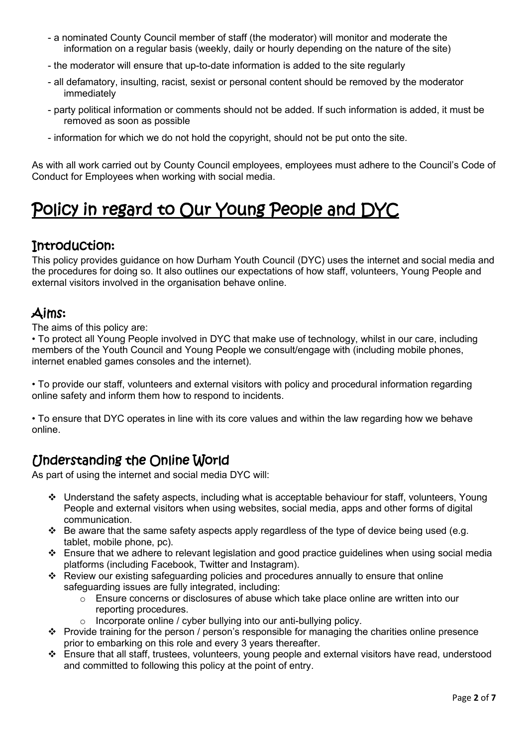- a nominated County Council member of staff (the moderator) will monitor and moderate the information on a regular basis (weekly, daily or hourly depending on the nature of the site)
- the moderator will ensure that up-to-date information is added to the site regularly
- all defamatory, insulting, racist, sexist or personal content should be removed by the moderator immediately
- party political information or comments should not be added. If such information is added, it must be removed as soon as possible
- information for which we do not hold the copyright, should not be put onto the site.

As with all work carried out by County Council employees, employees must adhere to the Council's Code of Conduct for Employees when working with social media.

# Policy in regard to Our Young People and DYC

#### Introduction:

This policy provides guidance on how Durham Youth Council (DYC) uses the internet and social media and the procedures for doing so. It also outlines our expectations of how staff, volunteers, Young People and external visitors involved in the organisation behave online.

### Aims:

The aims of this policy are:

• To protect all Young People involved in DYC that make use of technology, whilst in our care, including members of the Youth Council and Young People we consult/engage with (including mobile phones, internet enabled games consoles and the internet).

• To provide our staff, volunteers and external visitors with policy and procedural information regarding online safety and inform them how to respond to incidents.

• To ensure that DYC operates in line with its core values and within the law regarding how we behave online.

### Understanding the Online World

As part of using the internet and social media DYC will:

- ❖ Understand the safety aspects, including what is acceptable behaviour for staff, volunteers, Young People and external visitors when using websites, social media, apps and other forms of digital communication.
- ❖ Be aware that the same safety aspects apply regardless of the type of device being used (e.g. tablet, mobile phone, pc).
- ❖ Ensure that we adhere to relevant legislation and good practice guidelines when using social media platforms (including Facebook, Twitter and Instagram).
- ❖ Review our existing safeguarding policies and procedures annually to ensure that online safeguarding issues are fully integrated, including:
	- $\overline{\circ}$  Ensure concerns or disclosures of abuse which take place online are written into our reporting procedures.
	- o Incorporate online / cyber bullying into our anti-bullying policy.
- ❖ Provide training for the person / person's responsible for managing the charities online presence prior to embarking on this role and every 3 years thereafter.
- ❖ Ensure that all staff, trustees, volunteers, young people and external visitors have read, understood and committed to following this policy at the point of entry.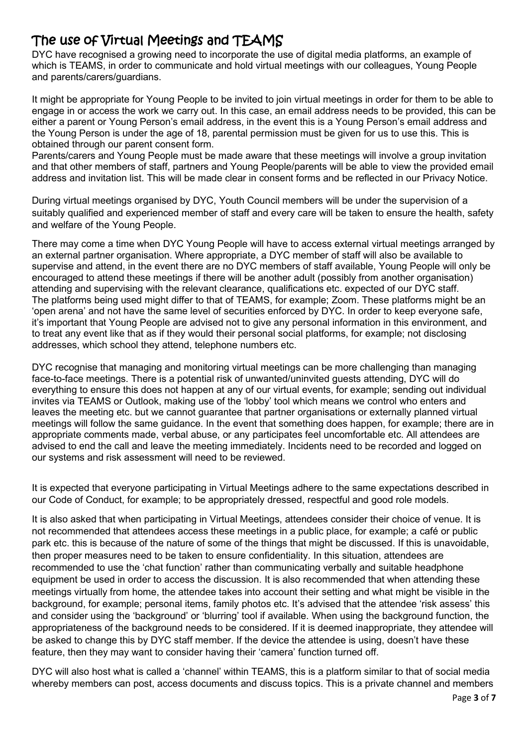# The use of Virtual Meetings and TEAMS

DYC have recognised a growing need to incorporate the use of digital media platforms, an example of which is TEAMS, in order to communicate and hold virtual meetings with our colleagues, Young People and parents/carers/guardians.

It might be appropriate for Young People to be invited to join virtual meetings in order for them to be able to engage in or access the work we carry out. In this case, an email address needs to be provided, this can be either a parent or Young Person's email address, in the event this is a Young Person's email address and the Young Person is under the age of 18, parental permission must be given for us to use this. This is obtained through our parent consent form.

Parents/carers and Young People must be made aware that these meetings will involve a group invitation and that other members of staff, partners and Young People/parents will be able to view the provided email address and invitation list. This will be made clear in consent forms and be reflected in our Privacy Notice.

During virtual meetings organised by DYC, Youth Council members will be under the supervision of a suitably qualified and experienced member of staff and every care will be taken to ensure the health, safety and welfare of the Young People.

There may come a time when DYC Young People will have to access external virtual meetings arranged by an external partner organisation. Where appropriate, a DYC member of staff will also be available to supervise and attend, in the event there are no DYC members of staff available, Young People will only be encouraged to attend these meetings if there will be another adult (possibly from another organisation) attending and supervising with the relevant clearance, qualifications etc. expected of our DYC staff. The platforms being used might differ to that of TEAMS, for example; Zoom. These platforms might be an 'open arena' and not have the same level of securities enforced by DYC. In order to keep everyone safe, it's important that Young People are advised not to give any personal information in this environment, and to treat any event like that as if they would their personal social platforms, for example; not disclosing addresses, which school they attend, telephone numbers etc.

DYC recognise that managing and monitoring virtual meetings can be more challenging than managing face-to-face meetings. There is a potential risk of unwanted/uninvited guests attending, DYC will do everything to ensure this does not happen at any of our virtual events, for example; sending out individual invites via TEAMS or Outlook, making use of the 'lobby' tool which means we control who enters and leaves the meeting etc. but we cannot guarantee that partner organisations or externally planned virtual meetings will follow the same guidance. In the event that something does happen, for example; there are in appropriate comments made, verbal abuse, or any participates feel uncomfortable etc. All attendees are advised to end the call and leave the meeting immediately. Incidents need to be recorded and logged on our systems and risk assessment will need to be reviewed.

It is expected that everyone participating in Virtual Meetings adhere to the same expectations described in our Code of Conduct, for example; to be appropriately dressed, respectful and good role models.

It is also asked that when participating in Virtual Meetings, attendees consider their choice of venue. It is not recommended that attendees access these meetings in a public place, for example; a café or public park etc. this is because of the nature of some of the things that might be discussed. If this is unavoidable, then proper measures need to be taken to ensure confidentiality. In this situation, attendees are recommended to use the 'chat function' rather than communicating verbally and suitable headphone equipment be used in order to access the discussion. It is also recommended that when attending these meetings virtually from home, the attendee takes into account their setting and what might be visible in the background, for example; personal items, family photos etc. It's advised that the attendee 'risk assess' this and consider using the 'background' or 'blurring' tool if available. When using the background function, the appropriateness of the background needs to be considered. If it is deemed inappropriate, they attendee will be asked to change this by DYC staff member. If the device the attendee is using, doesn't have these feature, then they may want to consider having their 'camera' function turned off.

DYC will also host what is called a 'channel' within TEAMS, this is a platform similar to that of social media whereby members can post, access documents and discuss topics. This is a private channel and members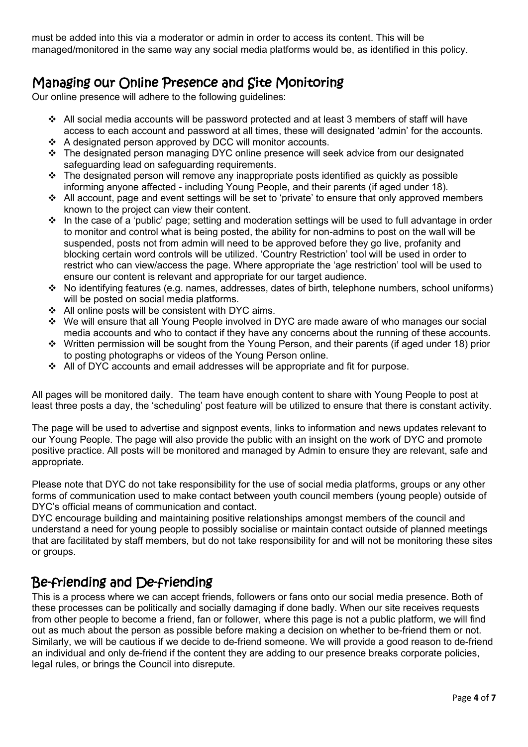must be added into this via a moderator or admin in order to access its content. This will be managed/monitored in the same way any social media platforms would be, as identified in this policy.

# Managing our Online Presence and Site Monitoring

Our online presence will adhere to the following guidelines:

- $\div$  All social media accounts will be password protected and at least 3 members of staff will have access to each account and password at all times, these will designated 'admin' for the accounts.
- ❖ A designated person approved by DCC will monitor accounts.
- ❖ The designated person managing DYC online presence will seek advice from our designated safeguarding lead on safeguarding requirements.
- ❖ The designated person will remove any inappropriate posts identified as quickly as possible informing anyone affected - including Young People, and their parents (if aged under 18).
- ❖ All account, page and event settings will be set to 'private' to ensure that only approved members known to the project can view their content.
- ❖ In the case of a 'public' page; setting and moderation settings will be used to full advantage in order to monitor and control what is being posted, the ability for non-admins to post on the wall will be suspended, posts not from admin will need to be approved before they go live, profanity and blocking certain word controls will be utilized. 'Country Restriction' tool will be used in order to restrict who can view/access the page. Where appropriate the 'age restriction' tool will be used to ensure our content is relevant and appropriate for our target audience.
- ❖ No identifying features (e.g. names, addresses, dates of birth, telephone numbers, school uniforms) will be posted on social media platforms.
- ❖ All online posts will be consistent with DYC aims.
- ❖ We will ensure that all Young People involved in DYC are made aware of who manages our social media accounts and who to contact if they have any concerns about the running of these accounts.
- ❖ Written permission will be sought from the Young Person, and their parents (if aged under 18) prior to posting photographs or videos of the Young Person online.
- ❖ All of DYC accounts and email addresses will be appropriate and fit for purpose.

All pages will be monitored daily. The team have enough content to share with Young People to post at least three posts a day, the 'scheduling' post feature will be utilized to ensure that there is constant activity.

The page will be used to advertise and signpost events, links to information and news updates relevant to our Young People. The page will also provide the public with an insight on the work of DYC and promote positive practice. All posts will be monitored and managed by Admin to ensure they are relevant, safe and appropriate.

Please note that DYC do not take responsibility for the use of social media platforms, groups or any other forms of communication used to make contact between youth council members (young people) outside of DYC's official means of communication and contact.

DYC encourage building and maintaining positive relationships amongst members of the council and understand a need for young people to possibly socialise or maintain contact outside of planned meetings that are facilitated by staff members, but do not take responsibility for and will not be monitoring these sites or groups.

#### Be-friending and De-friending

This is a process where we can accept friends, followers or fans onto our social media presence. Both of these processes can be politically and socially damaging if done badly. When our site receives requests from other people to become a friend, fan or follower, where this page is not a public platform, we will find out as much about the person as possible before making a decision on whether to be-friend them or not. Similarly, we will be cautious if we decide to de-friend someone. We will provide a good reason to de-friend an individual and only de-friend if the content they are adding to our presence breaks corporate policies, legal rules, or brings the Council into disrepute.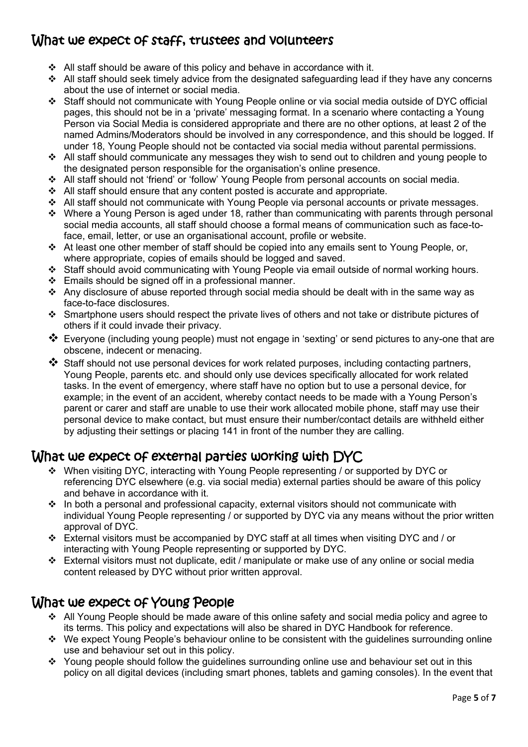## What we expect of staff, trustees and volunteers

- ❖ All staff should be aware of this policy and behave in accordance with it.
- $\cdot \cdot$  All staff should seek timely advice from the designated safeguarding lead if they have any concerns about the use of internet or social media.
- ❖ Staff should not communicate with Young People online or via social media outside of DYC official pages, this should not be in a 'private' messaging format. In a scenario where contacting a Young Person via Social Media is considered appropriate and there are no other options, at least 2 of the named Admins/Moderators should be involved in any correspondence, and this should be logged. If under 18, Young People should not be contacted via social media without parental permissions.
- ❖ All staff should communicate any messages they wish to send out to children and young people to the designated person responsible for the organisation's online presence.
- ❖ All staff should not 'friend' or 'follow' Young People from personal accounts on social media.
- ❖ All staff should ensure that any content posted is accurate and appropriate.
- ❖ All staff should not communicate with Young People via personal accounts or private messages.
- ❖ Where a Young Person is aged under 18, rather than communicating with parents through personal social media accounts, all staff should choose a formal means of communication such as face-toface, email, letter, or use an organisational account, profile or website.
- ❖ At least one other member of staff should be copied into any emails sent to Young People, or, where appropriate, copies of emails should be logged and saved.
- ❖ Staff should avoid communicating with Young People via email outside of normal working hours.
- ❖ Emails should be signed off in a professional manner.
- ❖ Any disclosure of abuse reported through social media should be dealt with in the same way as face-to-face disclosures.
- ❖ Smartphone users should respect the private lives of others and not take or distribute pictures of others if it could invade their privacy.
- ❖ Everyone (including young people) must not engage in 'sexting' or send pictures to any-one that are obscene, indecent or menacing.
- ❖ Staff should not use personal devices for work related purposes, including contacting partners, Young People, parents etc. and should only use devices specifically allocated for work related tasks. In the event of emergency, where staff have no option but to use a personal device, for example; in the event of an accident, whereby contact needs to be made with a Young Person's parent or carer and staff are unable to use their work allocated mobile phone, staff may use their personal device to make contact, but must ensure their number/contact details are withheld either by adjusting their settings or placing 141 in front of the number they are calling.

#### What we expect of external parties working with DYC

- ❖ When visiting DYC, interacting with Young People representing / or supported by DYC or referencing DYC elsewhere (e.g. via social media) external parties should be aware of this policy and behave in accordance with it.
- ❖ In both a personal and professional capacity, external visitors should not communicate with individual Young People representing / or supported by DYC via any means without the prior written approval of DYC.
- ❖ External visitors must be accompanied by DYC staff at all times when visiting DYC and / or interacting with Young People representing or supported by DYC.
- ❖ External visitors must not duplicate, edit / manipulate or make use of any online or social media content released by DYC without prior written approval.

#### What we expect of Young People

- ❖ All Young People should be made aware of this online safety and social media policy and agree to its terms. This policy and expectations will also be shared in DYC Handbook for reference.
- ❖ We expect Young People's behaviour online to be consistent with the guidelines surrounding online use and behaviour set out in this policy.
- ❖ Young people should follow the guidelines surrounding online use and behaviour set out in this policy on all digital devices (including smart phones, tablets and gaming consoles). In the event that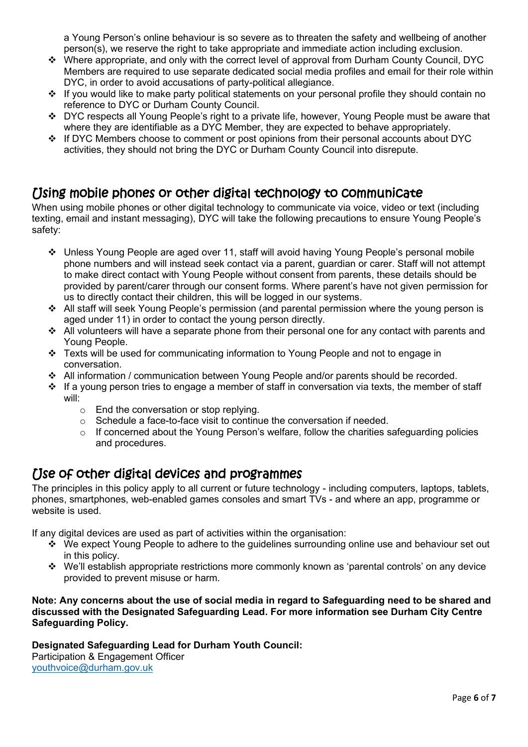a Young Person's online behaviour is so severe as to threaten the safety and wellbeing of another person(s), we reserve the right to take appropriate and immediate action including exclusion.

- ❖ Where appropriate, and only with the correct level of approval from Durham County Council, DYC Members are required to use separate dedicated social media profiles and email for their role within DYC, in order to avoid accusations of party-political allegiance.
- ❖ If you would like to make party political statements on your personal profile they should contain no reference to DYC or Durham County Council.
- ❖ DYC respects all Young People's right to a private life, however, Young People must be aware that where they are identifiable as a DYC Member, they are expected to behave appropriately.
- ❖ If DYC Members choose to comment or post opinions from their personal accounts about DYC activities, they should not bring the DYC or Durham County Council into disrepute.

#### Using mobile phones or other digital technology to communicate

When using mobile phones or other digital technology to communicate via voice, video or text (including texting, email and instant messaging), DYC will take the following precautions to ensure Young People's safety:

- ❖ Unless Young People are aged over 11, staff will avoid having Young People's personal mobile phone numbers and will instead seek contact via a parent, guardian or carer. Staff will not attempt to make direct contact with Young People without consent from parents, these details should be provided by parent/carer through our consent forms. Where parent's have not given permission for us to directly contact their children, this will be logged in our systems.
- ❖ All staff will seek Young People's permission (and parental permission where the young person is aged under 11) in order to contact the young person directly.
- $\cdot \cdot$  All volunteers will have a separate phone from their personal one for any contact with parents and Young People.
- ❖ Texts will be used for communicating information to Young People and not to engage in conversation.
- ❖ All information / communication between Young People and/or parents should be recorded.
- $\cdot \cdot$  If a young person tries to engage a member of staff in conversation via texts, the member of staff will:
	- o End the conversation or stop replying.
	- $\circ$  Schedule a face-to-face visit to continue the conversation if needed.
	- o If concerned about the Young Person's welfare, follow the charities safeguarding policies and procedures.

#### Use of other digital devices and programmes

The principles in this policy apply to all current or future technology - including computers, laptops, tablets, phones, smartphones, web-enabled games consoles and smart TVs - and where an app, programme or website is used.

If any digital devices are used as part of activities within the organisation:

- ❖ We expect Young People to adhere to the guidelines surrounding online use and behaviour set out in this policy.
- ❖ We'll establish appropriate restrictions more commonly known as 'parental controls' on any device provided to prevent misuse or harm.

#### **Note: Any concerns about the use of social media in regard to Safeguarding need to be shared and discussed with the Designated Safeguarding Lead. For more information see Durham City Centre Safeguarding Policy.**

**Designated Safeguarding Lead for Durham Youth Council:**  Participation & Engagement Officer [youthvoice@durham.gov.uk](mailto:catharine.harwood@durham.gov.uk)